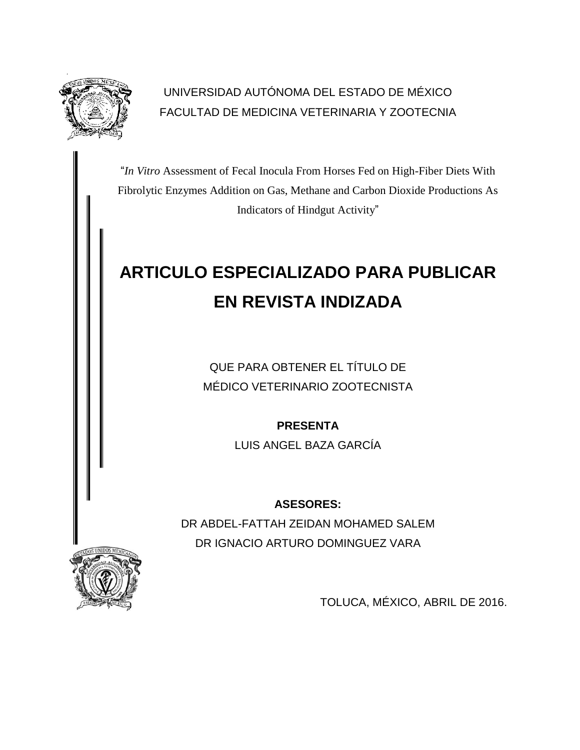

# UNIVERSIDAD AUTÓNOMA DEL ESTADO DE MÉXICO FACULTAD DE MEDICINA VETERINARIA Y ZOOTECNIA

"*In Vitro* Assessment of Fecal Inocula From Horses Fed on High-Fiber Diets With Fibrolytic Enzymes Addition on Gas, Methane and Carbon Dioxide Productions As Indicators of Hindgut Activity"

# **ARTICULO ESPECIALIZADO PARA PUBLICAR EN REVISTA INDIZADA**

QUE PARA OBTENER EL TÍTULO DE MÉDICO VETERINARIO ZOOTECNISTA

**PRESENTA**

LUIS ANGEL BAZA GARCÍA

# **ASESORES:**

DR ABDEL-FATTAH ZEIDAN MOHAMED SALEM DR IGNACIO ARTURO DOMINGUEZ VARA



TOLUCA, MÉXICO, ABRIL DE 2016.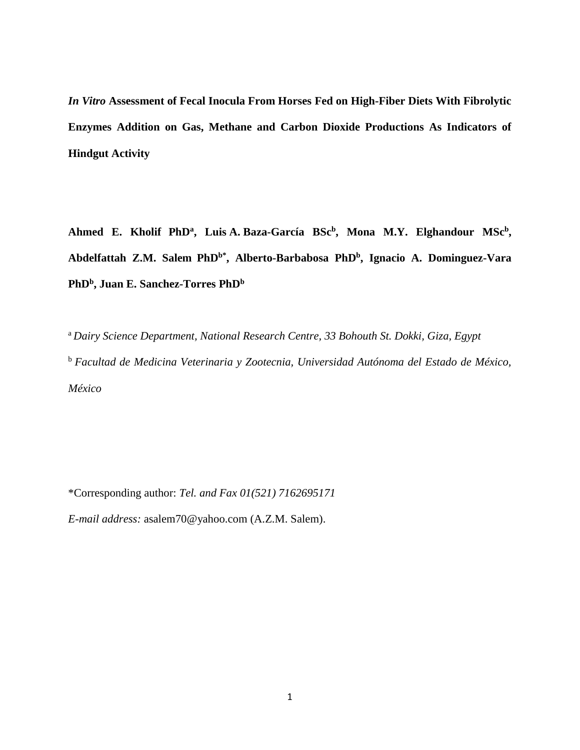*In Vitro* **Assessment of Fecal Inocula From Horses Fed on High-Fiber Diets With Fibrolytic Enzymes Addition on Gas, Methane and Carbon Dioxide Productions As Indicators of Hindgut Activity**

**Ahmed E. Kholif PhD<sup>a</sup> , Luis A. Baza-García BSc<sup>b</sup> , Mona M.Y. Elghandour MSc<sup>b</sup> , Abdelfattah Z.M. Salem PhDb\*, Alberto-Barbabosa PhD<sup>b</sup> , Ignacio A. Dominguez-Vara PhD<sup>b</sup> , Juan E. Sanchez-Torres PhD<sup>b</sup>**

<sup>a</sup>*Dairy Science Department, National Research Centre, 33 Bohouth St. Dokki, Giza, Egypt* <sup>b</sup> *Facultad de Medicina Veterinaria y Zootecnia, Universidad Autónoma del Estado de México, México*

\*Corresponding author: *Tel. and Fax 01(521) 7162695171*

*E-mail address:* asalem70@yahoo.com (A.Z.M. Salem).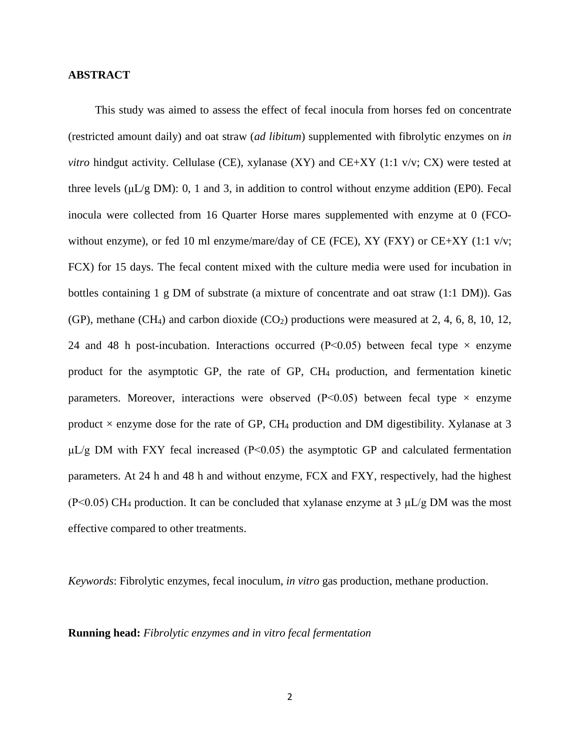#### **ABSTRACT**

This study was aimed to assess the effect of fecal inocula from horses fed on concentrate (restricted amount daily) and oat straw (*ad libitum*) supplemented with fibrolytic enzymes on *in vitro* hindgut activity. Cellulase (CE), xylanase (XY) and CE+XY (1:1 v/v; CX) were tested at three levels ( $\mu$ L/g DM): 0, 1 and 3, in addition to control without enzyme addition (EP0). Fecal inocula were collected from 16 Quarter Horse mares supplemented with enzyme at 0 (FCOwithout enzyme), or fed 10 ml enzyme/mare/day of CE (FCE), XY (FXY) or CE+XY (1:1 v/v; FCX) for 15 days. The fecal content mixed with the culture media were used for incubation in bottles containing 1 g DM of substrate (a mixture of concentrate and oat straw (1:1 DM)). Gas (GP), methane (CH<sub>4</sub>) and carbon dioxide (CO<sub>2</sub>) productions were measured at 2, 4, 6, 8, 10, 12, 24 and 48 h post-incubation. Interactions occurred (P<0.05) between fecal type  $\times$  enzyme product for the asymptotic GP, the rate of GP, CH<sup>4</sup> production, and fermentation kinetic parameters. Moreover, interactions were observed ( $P<0.05$ ) between fecal type  $\times$  enzyme product  $\times$  enzyme dose for the rate of GP, CH<sub>4</sub> production and DM digestibility. Xylanase at 3  $\mu$ L/g DM with FXY fecal increased (P<0.05) the asymptotic GP and calculated fermentation parameters. At 24 h and 48 h and without enzyme, FCX and FXY, respectively, had the highest (P<0.05) CH<sub>4</sub> production. It can be concluded that xylanase enzyme at 3  $\mu L/g$  DM was the most effective compared to other treatments.

*Keywords*: Fibrolytic enzymes, fecal inoculum, *in vitro* gas production, methane production.

**Running head:** *Fibrolytic enzymes and in vitro fecal fermentation*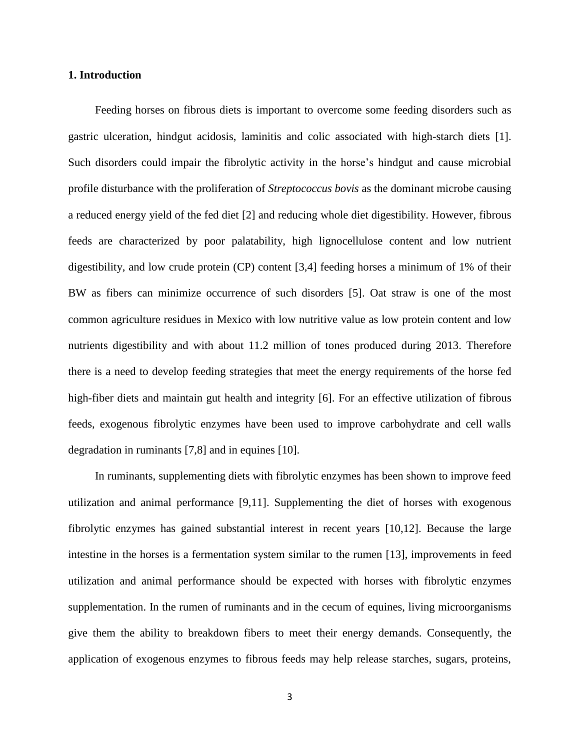#### **1. Introduction**

Feeding horses on fibrous diets is important to overcome some feeding disorders such as gastric ulceration, hindgut acidosis, laminitis and colic associated with high-starch diets [1]. Such disorders could impair the fibrolytic activity in the horse's hindgut and cause microbial profile disturbance with the proliferation of *Streptococcus bovis* as the dominant microbe causing a reduced energy yield of the fed diet [2] and reducing whole diet digestibility. However, fibrous feeds are characterized by poor palatability, high lignocellulose content and low nutrient digestibility, and low crude protein (CP) content [3,4] feeding horses a minimum of 1% of their BW as fibers can minimize occurrence of such disorders [5]. Oat straw is one of the most common agriculture residues in Mexico with low nutritive value as low protein content and low nutrients digestibility and with about 11.2 million of tones produced during 2013. Therefore there is a need to develop feeding strategies that meet the energy requirements of the horse fed high-fiber diets and maintain gut health and integrity [6]. For an effective utilization of fibrous feeds, exogenous fibrolytic enzymes have been used to improve carbohydrate and cell walls degradation in ruminants [7,8] and in equines [10].

In ruminants, supplementing diets with fibrolytic enzymes has been shown to improve feed utilization and animal performance [9,11]. Supplementing the diet of horses with exogenous fibrolytic enzymes has gained substantial interest in recent years [10,12]. Because the large intestine in the horses is a fermentation system similar to the rumen [13], improvements in feed utilization and animal performance should be expected with horses with fibrolytic enzymes supplementation. In the rumen of ruminants and in the cecum of equines, living microorganisms give them the ability to breakdown fibers to meet their energy demands. Consequently, the application of exogenous enzymes to fibrous feeds may help release starches, sugars, proteins,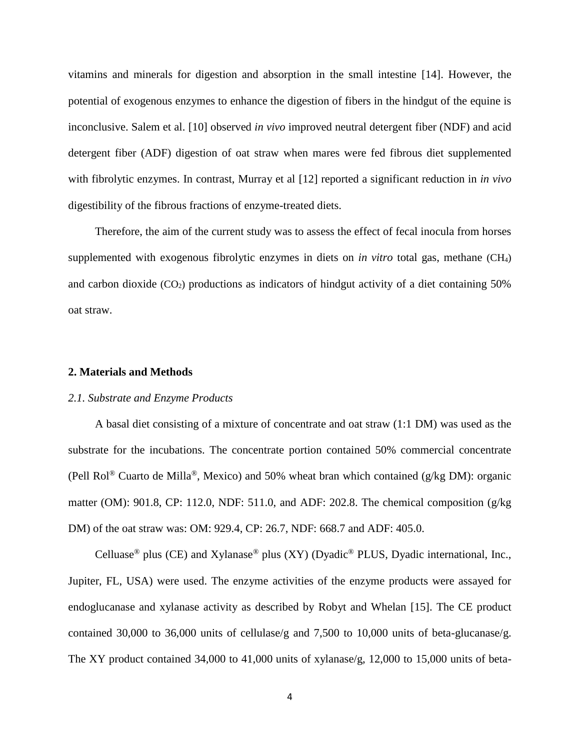vitamins and minerals for digestion and absorption in the small intestine [14]. However, the potential of exogenous enzymes to enhance the digestion of fibers in the hindgut of the equine is inconclusive. Salem et al. [10] observed *in vivo* improved neutral detergent fiber (NDF) and acid detergent fiber (ADF) digestion of oat straw when mares were fed fibrous diet supplemented with fibrolytic enzymes. In contrast, Murray et al [12] reported a significant reduction in *in vivo* digestibility of the fibrous fractions of enzyme-treated diets.

Therefore, the aim of the current study was to assess the effect of fecal inocula from horses supplemented with exogenous fibrolytic enzymes in diets on *in vitro* total gas, methane (CH4) and carbon dioxide  $(CO_2)$  productions as indicators of hindgut activity of a diet containing 50% oat straw.

### **2. Materials and Methods**

### *2.1. Substrate and Enzyme Products*

A basal diet consisting of a mixture of concentrate and oat straw (1:1 DM) was used as the substrate for the incubations. The concentrate portion contained 50% commercial concentrate (Pell Rol<sup>®</sup> Cuarto de Milla<sup>®</sup>, Mexico) and 50% wheat bran which contained (g/kg DM): organic matter (OM): 901.8, CP: 112.0, NDF: 511.0, and ADF: 202.8. The chemical composition (g/kg DM) of the oat straw was: OM: 929.4, CP: 26.7, NDF: 668.7 and ADF: 405.0.

Celluase<sup>®</sup> plus (CE) and Xylanase<sup>®</sup> plus (XY) (Dyadic<sup>®</sup> PLUS, Dyadic international, Inc., Jupiter, FL, USA) were used. The enzyme activities of the enzyme products were assayed for endoglucanase and xylanase activity as described by Robyt and Whelan [15]. The CE product contained 30,000 to 36,000 units of cellulase/g and 7,500 to 10,000 units of beta-glucanase/g. The XY product contained 34,000 to 41,000 units of xylanase/g, 12,000 to 15,000 units of beta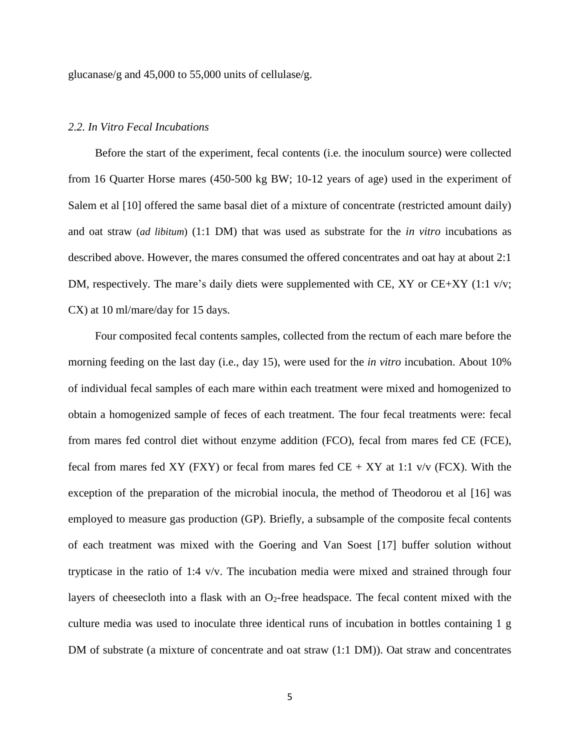glucanase/g and 45,000 to 55,000 units of cellulase/g.

### *2.2. In Vitro Fecal Incubations*

Before the start of the experiment, fecal contents (i.e. the inoculum source) were collected from 16 Quarter Horse mares (450-500 kg BW; 10-12 years of age) used in the experiment of Salem et al [10] offered the same basal diet of a mixture of concentrate (restricted amount daily) and oat straw (*ad libitum*) (1:1 DM) that was used as substrate for the *in vitro* incubations as described above. However, the mares consumed the offered concentrates and oat hay at about 2:1 DM, respectively. The mare's daily diets were supplemented with CE, XY or CE+XY (1:1 v/v; CX) at 10 ml/mare/day for 15 days.

Four composited fecal contents samples, collected from the rectum of each mare before the morning feeding on the last day (i.e., day 15), were used for the *in vitro* incubation. About 10% of individual fecal samples of each mare within each treatment were mixed and homogenized to obtain a homogenized sample of feces of each treatment. The four fecal treatments were: fecal from mares fed control diet without enzyme addition (FCO), fecal from mares fed CE (FCE), fecal from mares fed XY (FXY) or fecal from mares fed  $CE + XY$  at 1:1 v/v (FCX). With the exception of the preparation of the microbial inocula, the method of Theodorou et al [16] was employed to measure gas production (GP). Briefly, a subsample of the composite fecal contents of each treatment was mixed with the Goering and Van Soest [17] buffer solution without trypticase in the ratio of 1:4 v/v. The incubation media were mixed and strained through four layers of cheesecloth into a flask with an  $O<sub>2</sub>$ -free headspace. The fecal content mixed with the culture media was used to inoculate three identical runs of incubation in bottles containing 1 g DM of substrate (a mixture of concentrate and oat straw (1:1 DM)). Oat straw and concentrates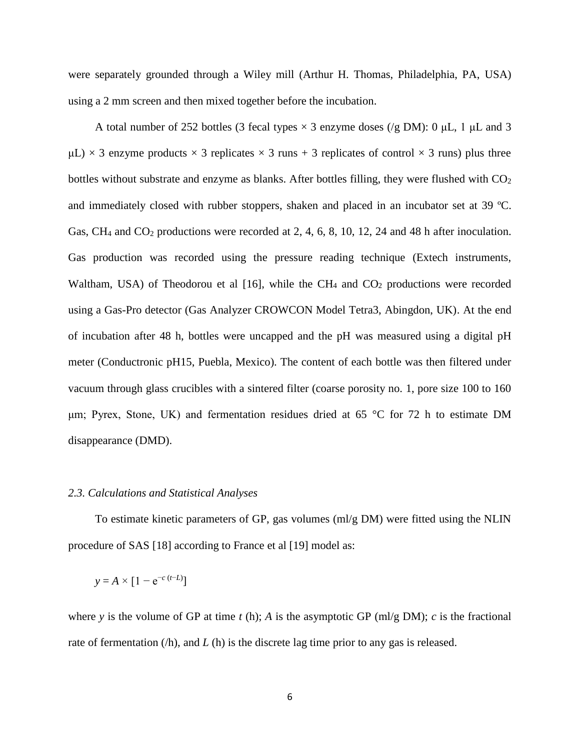were separately grounded through a Wiley mill (Arthur H. Thomas, Philadelphia, PA, USA) using a 2 mm screen and then mixed together before the incubation.

A total number of 252 bottles (3 fecal types  $\times$  3 enzyme doses (/g DM): 0 μL, 1 μL and 3  $\mu$ L)  $\times$  3 enzyme products  $\times$  3 replicates  $\times$  3 runs + 3 replicates of control  $\times$  3 runs) plus three bottles without substrate and enzyme as blanks. After bottles filling, they were flushed with  $CO<sub>2</sub>$ and immediately closed with rubber stoppers, shaken and placed in an incubator set at 39 ºC. Gas, CH<sub>4</sub> and CO<sub>2</sub> productions were recorded at 2, 4, 6, 8, 10, 12, 24 and 48 h after inoculation. Gas production was recorded using the pressure reading technique (Extech instruments, Waltham, USA) of Theodorou et al  $[16]$ , while the CH<sub>4</sub> and CO<sub>2</sub> productions were recorded using a Gas-Pro detector (Gas Analyzer CROWCON Model Tetra3, Abingdon, UK). At the end of incubation after 48 h, bottles were uncapped and the pH was measured using a digital pH meter (Conductronic pH15, Puebla, Mexico). The content of each bottle was then filtered under vacuum through glass crucibles with a sintered filter (coarse porosity no. 1, pore size 100 to 160 μm; Pyrex, Stone, UK) and fermentation residues dried at 65 °C for 72 h to estimate DM disappearance (DMD).

#### *2.3. Calculations and Statistical Analyses*

To estimate kinetic parameters of GP, gas volumes (ml/g DM) were fitted using the NLIN procedure of SAS [18] according to France et al [19] model as:

$$
y = A \times [1 - e^{-c(t-L)}]
$$

where *y* is the volume of GP at time *t* (h); *A* is the asymptotic GP (ml/g DM); *c* is the fractional rate of fermentation (/h), and *L* (h) is the discrete lag time prior to any gas is released.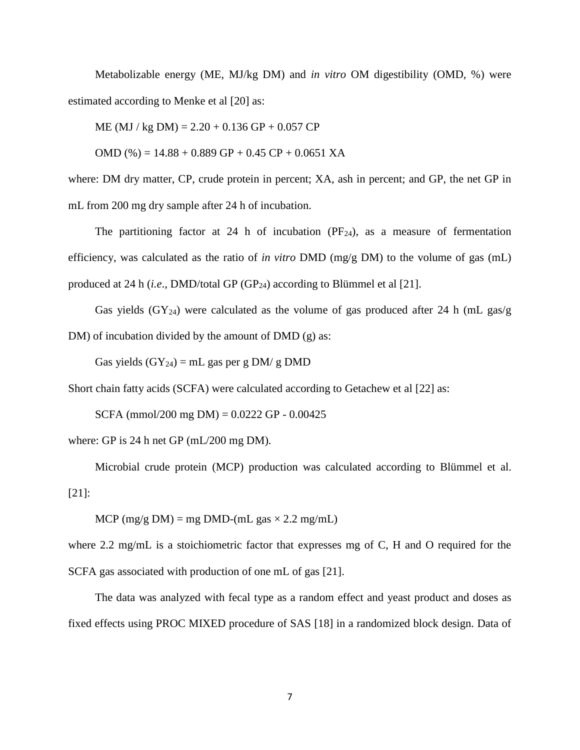Metabolizable energy (ME, MJ/kg DM) and *in vitro* OM digestibility (OMD, %) were estimated according to Menke et al [20] as:

 $ME (MJ / kg DM) = 2.20 + 0.136 GP + 0.057 CP$ 

OMD (%) =  $14.88 + 0.889$  GP +  $0.45$  CP +  $0.0651$  XA

where: DM dry matter, CP, crude protein in percent; XA, ash in percent; and GP, the net GP in mL from 200 mg dry sample after 24 h of incubation.

The partitioning factor at 24 h of incubation  $(PF_{24})$ , as a measure of fermentation efficiency, was calculated as the ratio of *in vitro* DMD (mg/g DM) to the volume of gas (mL) produced at 24 h (*i.e.*, DMD/total GP (GP<sub>24</sub>) according to Blümmel et al [21].

Gas yields  $(GY_{24})$  were calculated as the volume of gas produced after 24 h (mL gas/g DM) of incubation divided by the amount of DMD (g) as:

Gas yields  $(GY_{24}) = mL$  gas per g DM/ g DMD

Short chain fatty acids (SCFA) were calculated according to Getachew et al [22] as:

SCFA (mmol/200 mg DM) =  $0.0222$  GP -  $0.00425$ 

where: GP is 24 h net GP (mL/200 mg DM).

Microbial crude protein (MCP) production was calculated according to Blümmel et al. [21]:

MCP (mg/g DM) = mg DMD-(mL gas  $\times$  2.2 mg/mL)

where 2.2 mg/mL is a stoichiometric factor that expresses mg of C, H and O required for the SCFA gas associated with production of one mL of gas [21].

The data was analyzed with fecal type as a random effect and yeast product and doses as fixed effects using PROC MIXED procedure of SAS [18] in a randomized block design. Data of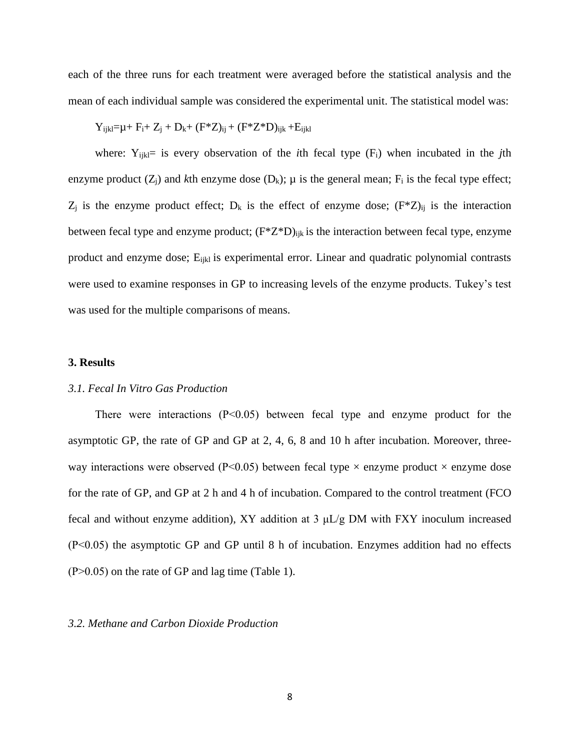each of the three runs for each treatment were averaged before the statistical analysis and the mean of each individual sample was considered the experimental unit. The statistical model was:

$$
Y_{ijkl} = \mu + F_i + Z_j + D_k + (F^*Z)_{ij} + (F^*Z^*D)_{ijk} + E_{ijkl}
$$

where:  $Y_{ijk}=$  is every observation of the *i*th fecal type  $(F_i)$  when incubated in the *j*th enzyme product  $(Z_i)$  and *k*th enzyme dose  $(D_k)$ ;  $\mu$  is the general mean;  $F_i$  is the fecal type effect;  $Z_j$  is the enzyme product effect;  $D_k$  is the effect of enzyme dose;  $(F^*Z)_{ij}$  is the interaction between fecal type and enzyme product;  $(F^*Z^*D)_{iik}$  is the interaction between fecal type, enzyme product and enzyme dose; E<sub>ijkl</sub> is experimental error. Linear and quadratic polynomial contrasts were used to examine responses in GP to increasing levels of the enzyme products. Tukey's test was used for the multiple comparisons of means.

#### **3. Results**

#### *3.1. Fecal In Vitro Gas Production*

There were interactions (P˂0.05) between fecal type and enzyme product for the asymptotic GP, the rate of GP and GP at 2, 4, 6, 8 and 10 h after incubation. Moreover, threeway interactions were observed ( $P<0.05$ ) between fecal type  $\times$  enzyme product  $\times$  enzyme dose for the rate of GP, and GP at 2 h and 4 h of incubation. Compared to the control treatment (FCO fecal and without enzyme addition), XY addition at 3 μL/g DM with FXY inoculum increased (P˂0.05) the asymptotic GP and GP until 8 h of incubation. Enzymes addition had no effects  $(P>0.05)$  on the rate of GP and lag time (Table 1).

#### *3.2. Methane and Carbon Dioxide Production*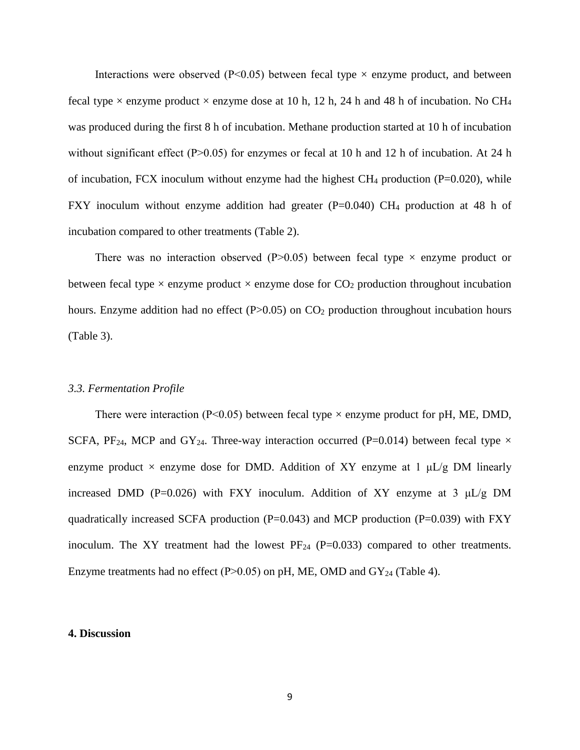Interactions were observed ( $P<0.05$ ) between fecal type  $\times$  enzyme product, and between fecal type  $\times$  enzyme product  $\times$  enzyme dose at 10 h, 12 h, 24 h and 48 h of incubation. No CH<sub>4</sub> was produced during the first 8 h of incubation. Methane production started at 10 h of incubation without significant effect (P $>0.05$ ) for enzymes or fecal at 10 h and 12 h of incubation. At 24 h of incubation, FCX inoculum without enzyme had the highest  $CH_4$  production (P=0.020), while FXY inoculum without enzyme addition had greater (P=0.040) CH<sub>4</sub> production at 48 h of incubation compared to other treatments (Table 2).

There was no interaction observed (P $>0.05$ ) between fecal type  $\times$  enzyme product or between fecal type  $\times$  enzyme product  $\times$  enzyme dose for CO<sub>2</sub> production throughout incubation hours. Enzyme addition had no effect  $(P>0.05)$  on  $CO<sub>2</sub>$  production throughout incubation hours (Table 3).

#### *3.3. Fermentation Profile*

There were interaction (P<0.05) between fecal type  $\times$  enzyme product for pH, ME, DMD, SCFA, PF<sub>24</sub>, MCP and GY<sub>24</sub>. Three-way interaction occurred (P=0.014) between fecal type  $\times$ enzyme product  $\times$  enzyme dose for DMD. Addition of XY enzyme at 1  $\mu$ L/g DM linearly increased DMD (P=0.026) with FXY inoculum. Addition of XY enzyme at 3  $\mu L/g$  DM quadratically increased SCFA production ( $P=0.043$ ) and MCP production ( $P=0.039$ ) with FXY inoculum. The XY treatment had the lowest  $PF_{24}$  (P=0.033) compared to other treatments. Enzyme treatments had no effect (P $>0.05$ ) on pH, ME, OMD and GY<sub>24</sub> (Table 4).

#### **4. Discussion**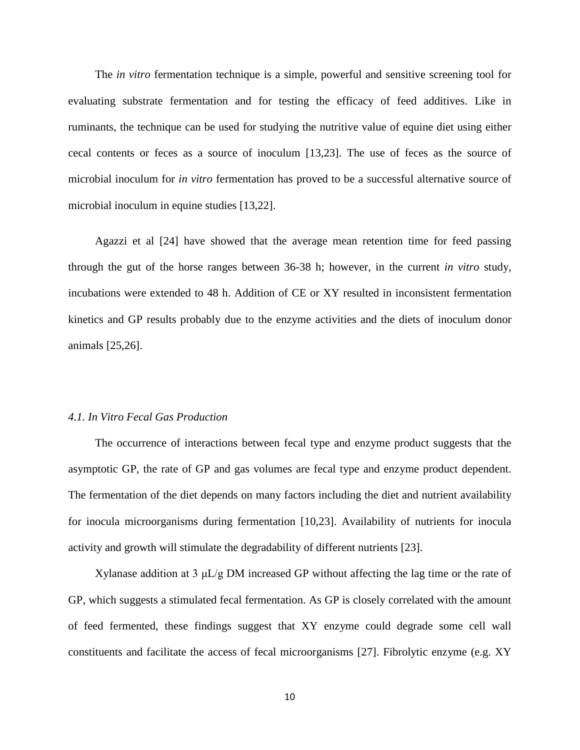The *in vitro* fermentation technique is a simple, powerful and sensitive screening tool for evaluating substrate fermentation and for testing the efficacy of feed additives. Like in ruminants, the technique can be used for studying the nutritive value of equine diet using either cecal contents or feces as a source of inoculum [13,23]. The use of feces as the source of microbial inoculum for *in vitro* fermentation has proved to be a successful alternative source of microbial inoculum in equine studies [13,22].

Agazzi et al [24] have showed that the average mean retention time for feed passing through the gut of the horse ranges between 36-38 h; however, in the current *in vitro* study, incubations were extended to 48 h. Addition of CE or XY resulted in inconsistent fermentation kinetics and GP results probably due to the enzyme activities and the diets of inoculum donor animals [25,26].

#### *4.1. In Vitro Fecal Gas Production*

The occurrence of interactions between fecal type and enzyme product suggests that the asymptotic GP, the rate of GP and gas volumes are fecal type and enzyme product dependent. The fermentation of the diet depends on many factors including the diet and nutrient availability for inocula microorganisms during fermentation [10,23]. Availability of nutrients for inocula activity and growth will stimulate the degradability of different nutrients [23].

Xylanase addition at 3  $\mu L/g$  DM increased GP without affecting the lag time or the rate of GP, which suggests a stimulated fecal fermentation. As GP is closely correlated with the amount of feed fermented, these findings suggest that XY enzyme could degrade some cell wall constituents and facilitate the access of fecal microorganisms [27]. Fibrolytic enzyme (e.g. XY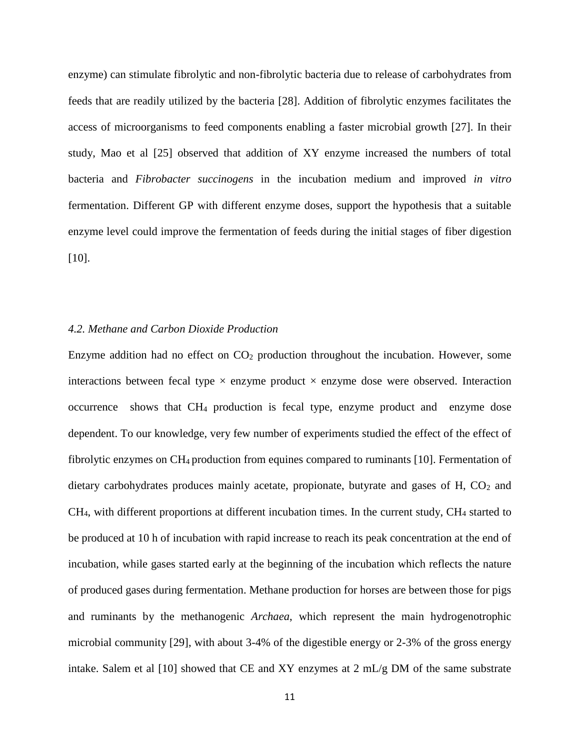enzyme) can stimulate fibrolytic and non-fibrolytic bacteria due to release of carbohydrates from feeds that are readily utilized by the bacteria [28]. Addition of fibrolytic enzymes facilitates the access of microorganisms to feed components enabling a faster microbial growth [27]. In their study, Mao et al [25] observed that addition of XY enzyme increased the numbers of total bacteria and *Fibrobacter succinogens* in the incubation medium and improved *in vitro* fermentation. Different GP with different enzyme doses, support the hypothesis that a suitable enzyme level could improve the fermentation of feeds during the initial stages of fiber digestion [10].

### *4.2. Methane and Carbon Dioxide Production*

Enzyme addition had no effect on  $CO<sub>2</sub>$  production throughout the incubation. However, some interactions between fecal type  $\times$  enzyme product  $\times$  enzyme dose were observed. Interaction occurrence shows that CH<sup>4</sup> production is fecal type, enzyme product and enzyme dose dependent. To our knowledge, very few number of experiments studied the effect of the effect of fibrolytic enzymes on CH4 production from equines compared to ruminants [10]. Fermentation of dietary carbohydrates produces mainly acetate, propionate, butyrate and gases of  $H$ ,  $CO<sub>2</sub>$  and CH4, with different proportions at different incubation times. In the current study, CH<sup>4</sup> started to be produced at 10 h of incubation with rapid increase to reach its peak concentration at the end of incubation, while gases started early at the beginning of the incubation which reflects the nature of produced gases during fermentation. Methane production for horses are between those for pigs and ruminants by the methanogenic *Archaea*, which represent the main hydrogenotrophic microbial community [29], with about 3-4% of the digestible energy or 2-3% of the gross energy intake. Salem et al [10] showed that CE and XY enzymes at 2 mL/g DM of the same substrate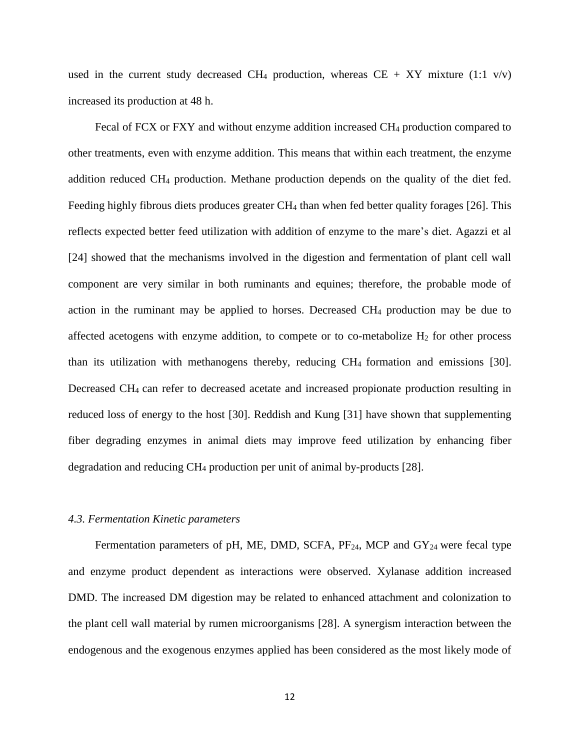used in the current study decreased CH<sub>4</sub> production, whereas CE + XY mixture (1:1 v/v) increased its production at 48 h.

Fecal of FCX or FXY and without enzyme addition increased CH<sup>4</sup> production compared to other treatments, even with enzyme addition. This means that within each treatment, the enzyme addition reduced CH<sup>4</sup> production. Methane production depends on the quality of the diet fed. Feeding highly fibrous diets produces greater CH<sup>4</sup> than when fed better quality forages [26]. This reflects expected better feed utilization with addition of enzyme to the mare's diet. Agazzi et al [24] showed that the mechanisms involved in the digestion and fermentation of plant cell wall component are very similar in both ruminants and equines; therefore, the probable mode of action in the ruminant may be applied to horses. Decreased  $CH_4$  production may be due to affected acetogens with enzyme addition, to compete or to co-metabolize  $H_2$  for other process than its utilization with methanogens thereby, reducing CH4 formation and emissions [30]. Decreased CH4 can refer to decreased acetate and increased propionate production resulting in reduced loss of energy to the host [30]. Reddish and Kung [31] have shown that supplementing fiber degrading enzymes in animal diets may improve feed utilization by enhancing fiber degradation and reducing CH<sup>4</sup> production per unit of animal by-products [28].

#### *4.3. Fermentation Kinetic parameters*

Fermentation parameters of pH, ME, DMD, SCFA, PF<sub>24</sub>, MCP and GY<sub>24</sub> were fecal type and enzyme product dependent as interactions were observed. Xylanase addition increased DMD. The increased DM digestion may be related to enhanced attachment and colonization to the plant cell wall material by rumen microorganisms [28]. A synergism interaction between the endogenous and the exogenous enzymes applied has been considered as the most likely mode of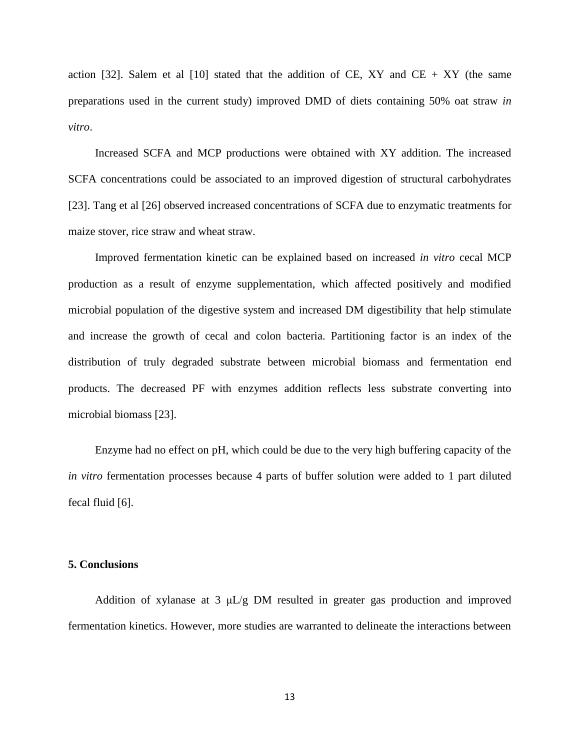action [32]. Salem et al [10] stated that the addition of CE, XY and CE + XY (the same preparations used in the current study) improved DMD of diets containing 50% oat straw *in vitro*.

Increased SCFA and MCP productions were obtained with XY addition. The increased SCFA concentrations could be associated to an improved digestion of structural carbohydrates [23]. Tang et al [26] observed increased concentrations of SCFA due to enzymatic treatments for maize stover, rice straw and wheat straw.

Improved fermentation kinetic can be explained based on increased *in vitro* cecal MCP production as a result of enzyme supplementation, which affected positively and modified microbial population of the digestive system and increased DM digestibility that help stimulate and increase the growth of cecal and colon bacteria. Partitioning factor is an index of the distribution of truly degraded substrate between microbial biomass and fermentation end products. The decreased PF with enzymes addition reflects less substrate converting into microbial biomass [23].

Enzyme had no effect on pH, which could be due to the very high buffering capacity of the *in vitro* fermentation processes because 4 parts of buffer solution were added to 1 part diluted fecal fluid [6].

### **5. Conclusions**

Addition of xylanase at 3 μL/g DM resulted in greater gas production and improved fermentation kinetics. However, more studies are warranted to delineate the interactions between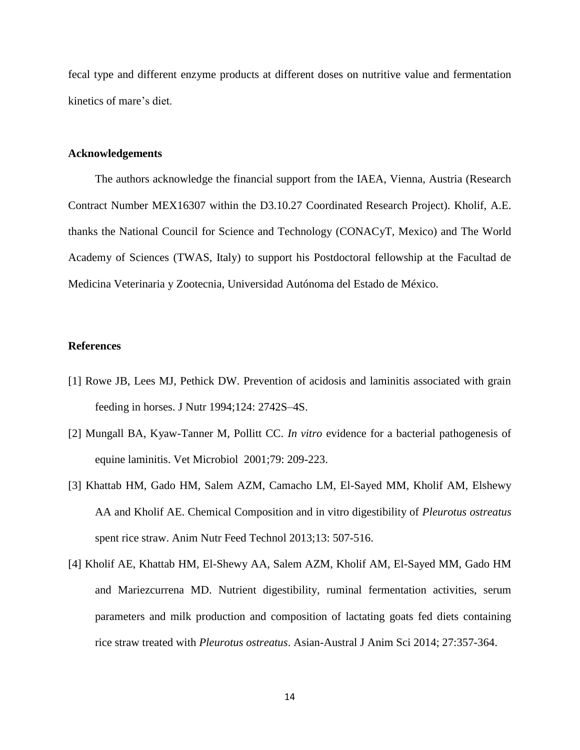fecal type and different enzyme products at different doses on nutritive value and fermentation kinetics of mare's diet.

#### **Acknowledgements**

The authors acknowledge the financial support from the IAEA, Vienna, Austria (Research Contract Number MEX16307 within the D3.10.27 Coordinated Research Project). Kholif, A.E. thanks the National Council for Science and Technology (CONACyT, Mexico) and The World Academy of Sciences (TWAS, Italy) to support his Postdoctoral fellowship at the Facultad de Medicina Veterinaria y Zootecnia, Universidad Autónoma del Estado de México.

### **References**

- [1] Rowe JB, Lees MJ, Pethick DW. Prevention of acidosis and laminitis associated with grain feeding in horses. J Nutr 1994;124: 2742S–4S.
- [2] Mungall BA, Kyaw-Tanner M, Pollitt CC. *In vitro* evidence for a bacterial pathogenesis of equine laminitis. Vet Microbiol 2001;79: 209-223.
- [3] Khattab HM, Gado HM, Salem AZM, Camacho LM, El-Sayed MM, Kholif AM, Elshewy AA and Kholif AE. Chemical Composition and in vitro digestibility of *Pleurotus ostreatus* spent rice straw. Anim Nutr Feed Technol 2013;13: 507-516.
- [4] Kholif AE, Khattab HM, El-Shewy AA, Salem AZM, Kholif AM, El-Sayed MM, Gado HM and Mariezcurrena MD. Nutrient digestibility, ruminal fermentation activities, serum parameters and milk production and composition of lactating goats fed diets containing rice straw treated with *Pleurotus ostreatus*. Asian-Austral J Anim Sci 2014; 27:357-364.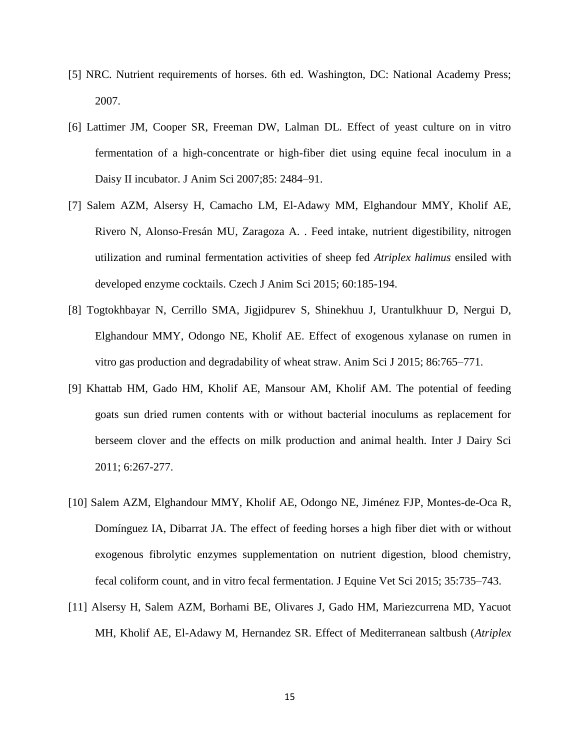- [5] NRC. Nutrient requirements of horses. 6th ed. Washington, DC: National Academy Press; 2007.
- [6] Lattimer JM, Cooper SR, Freeman DW, Lalman DL. Effect of yeast culture on in vitro fermentation of a high-concentrate or high-fiber diet using equine fecal inoculum in a Daisy II incubator. J Anim Sci 2007;85: 2484–91.
- [7] Salem AZM, Alsersy H, Camacho LM, El-Adawy MM, Elghandour MMY, Kholif AE, Rivero N, Alonso-Fresán MU, Zaragoza A. . Feed intake, nutrient digestibility, nitrogen utilization and ruminal fermentation activities of sheep fed *Atriplex halimus* ensiled with developed enzyme cocktails. Czech J Anim Sci 2015; 60:185-194.
- [8] Togtokhbayar N, Cerrillo SMA, Jigjidpurev S, Shinekhuu J, Urantulkhuur D, Nergui D, Elghandour MMY, Odongo NE, Kholif AE. Effect of exogenous xylanase on rumen in vitro gas production and degradability of wheat straw. Anim Sci J 2015; 86:765–771.
- [9] Khattab HM, Gado HM, Kholif AE, Mansour AM, Kholif AM. The potential of feeding goats sun dried rumen contents with or without bacterial inoculums as replacement for berseem clover and the effects on milk production and animal health. Inter J Dairy Sci 2011; 6:267-277.
- [10] Salem AZM, Elghandour MMY, Kholif AE, Odongo NE, Jiménez FJP, Montes-de-Oca R, Domínguez IA, Dibarrat JA. The effect of feeding horses a high fiber diet with or without exogenous fibrolytic enzymes supplementation on nutrient digestion, blood chemistry, fecal coliform count, and in vitro fecal fermentation. J Equine Vet Sci 2015; 35:735–743.
- [11] Alsersy H, Salem AZM, Borhami BE, Olivares J, Gado HM, Mariezcurrena MD, Yacuot MH, Kholif AE, El-Adawy M, Hernandez SR. Effect of Mediterranean saltbush (*Atriplex*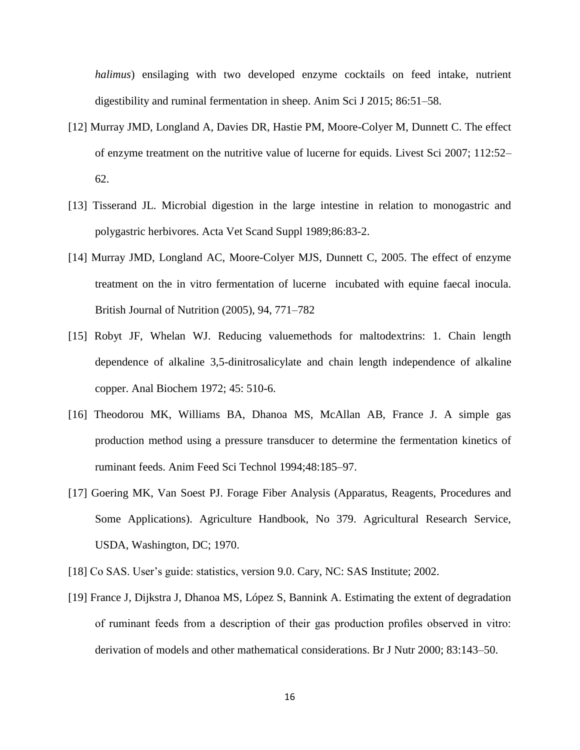*halimus*) ensilaging with two developed enzyme cocktails on feed intake, nutrient digestibility and ruminal fermentation in sheep. Anim Sci J 2015; 86:51–58.

- [12] Murray JMD, Longland A, Davies DR, Hastie PM, Moore-Colyer M, Dunnett C. The effect of enzyme treatment on the nutritive value of lucerne for equids. Livest Sci 2007; 112:52– 62.
- [13] Tisserand JL. Microbial digestion in the large intestine in relation to monogastric and polygastric herbivores. Acta Vet Scand Suppl 1989;86:83-2.
- [14] Murray JMD, Longland AC, Moore-Colyer MJS, Dunnett C, 2005. The effect of enzyme treatment on the in vitro fermentation of lucerne incubated with equine faecal inocula. British Journal of Nutrition (2005), 94, 771–782
- [15] Robyt JF, Whelan WJ. Reducing valuemethods for maltodextrins: 1. Chain length dependence of alkaline 3,5-dinitrosalicylate and chain length independence of alkaline copper. Anal Biochem 1972; 45: 510-6.
- [16] Theodorou MK, Williams BA, Dhanoa MS, McAllan AB, France J. A simple gas production method using a pressure transducer to determine the fermentation kinetics of ruminant feeds. Anim Feed Sci Technol 1994;48:185–97.
- [17] Goering MK, Van Soest PJ. Forage Fiber Analysis (Apparatus, Reagents, Procedures and Some Applications). Agriculture Handbook, No 379. Agricultural Research Service, USDA, Washington, DC; 1970.
- [18] Co SAS. User's guide: statistics, version 9.0. Cary, NC: SAS Institute; 2002.
- [19] France J, Dijkstra J, Dhanoa MS, López S, Bannink A. Estimating the extent of degradation of ruminant feeds from a description of their gas production profiles observed in vitro: derivation of models and other mathematical considerations. Br J Nutr 2000; 83:143–50.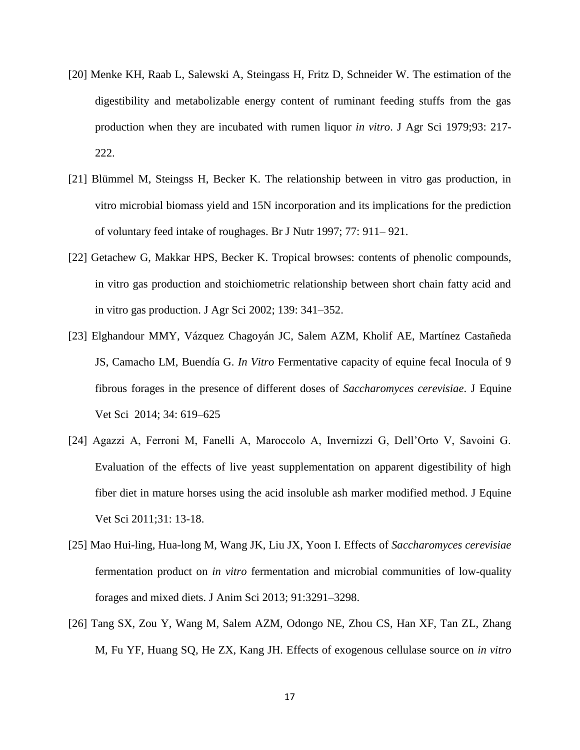- [20] Menke KH, Raab L, Salewski A, Steingass H, Fritz D, Schneider W. The estimation of the digestibility and metabolizable energy content of ruminant feeding stuffs from the gas production when they are incubated with rumen liquor *in vitro*. J Agr Sci 1979;93: 217- 222.
- [21] Blümmel M, Steingss H, Becker K. The relationship between in vitro gas production, in vitro microbial biomass yield and 15N incorporation and its implications for the prediction of voluntary feed intake of roughages. Br J Nutr 1997; 77: 911– 921.
- [22] Getachew G, Makkar HPS, Becker K. Tropical browses: contents of phenolic compounds, in vitro gas production and stoichiometric relationship between short chain fatty acid and in vitro gas production. J Agr Sci 2002; 139: 341–352.
- [23] Elghandour MMY, Vázquez Chagoyán JC, Salem AZM, Kholif AE, Martínez Castañeda JS, Camacho LM, Buendía G. *In Vitro* Fermentative capacity of equine fecal Inocula of 9 fibrous forages in the presence of different doses of *Saccharomyces cerevisiae*. J Equine Vet Sci 2014; 34: 619–625
- [24] Agazzi A, Ferroni M, Fanelli A, Maroccolo A, Invernizzi G, Dell'Orto V, Savoini G. Evaluation of the effects of live yeast supplementation on apparent digestibility of high fiber diet in mature horses using the acid insoluble ash marker modified method. J Equine Vet Sci 2011;31: 13-18.
- [25] Mao Hui-ling, Hua-long M, Wang JK, Liu JX, Yoon I. Effects of *Saccharomyces cerevisiae* fermentation product on *in vitro* fermentation and microbial communities of low-quality forages and mixed diets. J Anim Sci 2013; 91:3291–3298.
- [26] Tang SX, Zou Y, Wang M, Salem AZM, Odongo NE, Zhou CS, Han XF, Tan ZL, Zhang M, Fu YF, Huang SQ, He ZX, Kang JH. Effects of exogenous cellulase source on *in vitro*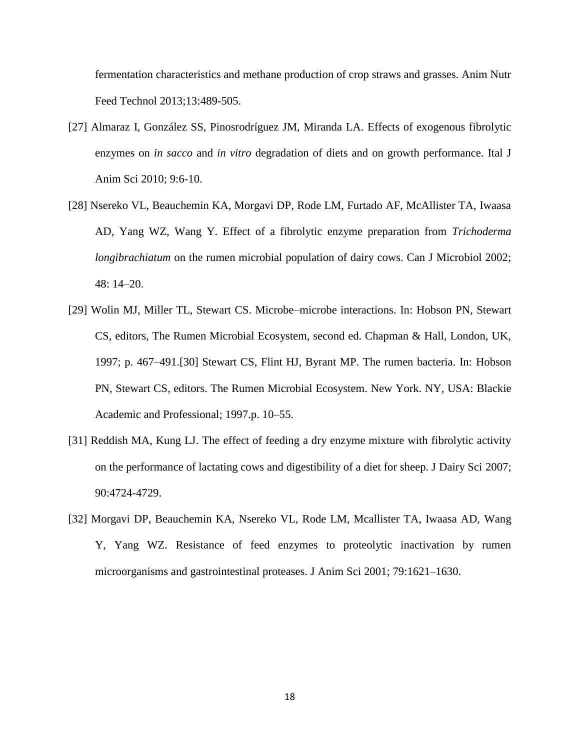fermentation characteristics and methane production of crop straws and grasses. Anim Nutr Feed Technol 2013;13:489-505.

- [27] Almaraz I, González SS, Pinosrodríguez JM, Miranda LA. Effects of exogenous fibrolytic enzymes on *in sacco* and *in vitro* degradation of diets and on growth performance. Ital J Anim Sci 2010; 9:6-10.
- [28] Nsereko VL, Beauchemin KA, Morgavi DP, Rode LM, Furtado AF, McAllister TA, Iwaasa AD, Yang WZ, Wang Y. Effect of a fibrolytic enzyme preparation from *Trichoderma longibrachiatum* on the rumen microbial population of dairy cows. Can J Microbiol 2002; 48: 14–20.
- [29] Wolin MJ, Miller TL, Stewart CS. Microbe–microbe interactions. In: Hobson PN, Stewart CS, editors, The Rumen Microbial Ecosystem, second ed. Chapman & Hall, London, UK, 1997; p. 467–491.[30] Stewart CS, Flint HJ, Byrant MP. The rumen bacteria. In: Hobson PN, Stewart CS, editors. The Rumen Microbial Ecosystem. New York. NY, USA: Blackie Academic and Professional; 1997.p. 10–55.
- [31] Reddish MA, Kung LJ. The effect of feeding a dry enzyme mixture with fibrolytic activity on the performance of lactating cows and digestibility of a diet for sheep. J Dairy Sci 2007; 90:4724-4729.
- [32] Morgavi DP, Beauchemin KA, Nsereko VL, Rode LM, Mcallister TA, Iwaasa AD, Wang Y, Yang WZ. Resistance of feed enzymes to proteolytic inactivation by rumen microorganisms and gastrointestinal proteases. J Anim Sci 2001; 79:1621–1630.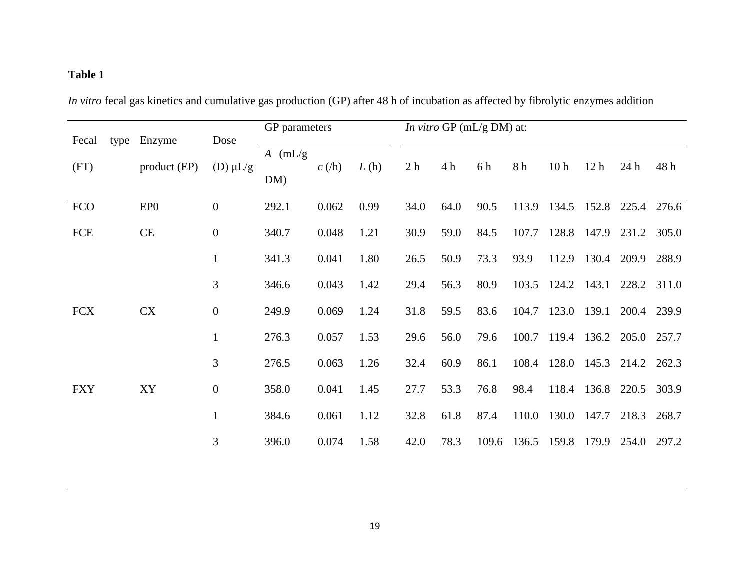# **Table 1**

*In vitro* fecal gas kinetics and cumulative gas production (GP) after 48 h of incubation as affected by fibrolytic enzymes addition

|            |              |                  |           | GP parameters |      |                | <i>In vitro</i> GP ( $mL/g$ DM) at: |       |       |                               |                 |             |             |  |  |
|------------|--------------|------------------|-----------|---------------|------|----------------|-------------------------------------|-------|-------|-------------------------------|-----------------|-------------|-------------|--|--|
| Fecal      | type Enzyme  | Dose             | $A$ (mL/g |               |      |                |                                     |       |       |                               |                 |             |             |  |  |
| (FT)       | product (EP) | (D) $\mu L/g$    |           | $c(\hbar)$    | L(h) | 2 <sub>h</sub> | 4 h                                 | 6 h   | 8 h   | 10 <sub>h</sub>               | 12 <sub>h</sub> | 24 h        | 48 h        |  |  |
|            |              |                  | DM)       |               |      |                |                                     |       |       |                               |                 |             |             |  |  |
| <b>FCO</b> | EPO          | $\overline{0}$   | 292.1     | 0.062         | 0.99 | 34.0           | 64.0                                | 90.5  | 113.9 | 134.5                         |                 | 152.8 225.4 | 276.6       |  |  |
| FCE        | $\rm CE$     | $\boldsymbol{0}$ | 340.7     | 0.048         | 1.21 | 30.9           | 59.0                                | 84.5  | 107.7 |                               | 128.8 147.9     | 231.2       | 305.0       |  |  |
|            |              | $\mathbf{1}$     | 341.3     | 0.041         | 1.80 | 26.5           | 50.9                                | 73.3  | 93.9  | 112.9                         | 130.4           | 209.9       | 288.9       |  |  |
|            |              | 3                | 346.6     | 0.043         | 1.42 | 29.4           | 56.3                                | 80.9  |       | 103.5 124.2 143.1             |                 | 228.2 311.0 |             |  |  |
| <b>FCX</b> | <b>CX</b>    | $\mathbf{0}$     | 249.9     | 0.069         | 1.24 | 31.8           | 59.5                                | 83.6  |       | 104.7 123.0                   | 139.1           |             | 200.4 239.9 |  |  |
|            |              | $\mathbf{1}$     | 276.3     | 0.057         | 1.53 | 29.6           | 56.0                                | 79.6  |       | 100.7 119.4 136.2 205.0 257.7 |                 |             |             |  |  |
|            |              | 3                | 276.5     | 0.063         | 1.26 | 32.4           | 60.9                                | 86.1  |       | 108.4 128.0 145.3 214.2 262.3 |                 |             |             |  |  |
| <b>FXY</b> | XY           | $\mathbf{0}$     | 358.0     | 0.041         | 1.45 | 27.7           | 53.3                                | 76.8  | 98.4  | 118.4                         |                 | 136.8 220.5 | 303.9       |  |  |
|            |              | $\mathbf{1}$     | 384.6     | 0.061         | 1.12 | 32.8           | 61.8                                | 87.4  |       | 110.0 130.0                   | 147.7           | 218.3       | 268.7       |  |  |
|            |              | 3                | 396.0     | 0.074         | 1.58 | 42.0           | 78.3                                | 109.6 |       | 136.5 159.8                   | 179.9           | 254.0       | 297.2       |  |  |
|            |              |                  |           |               |      |                |                                     |       |       |                               |                 |             |             |  |  |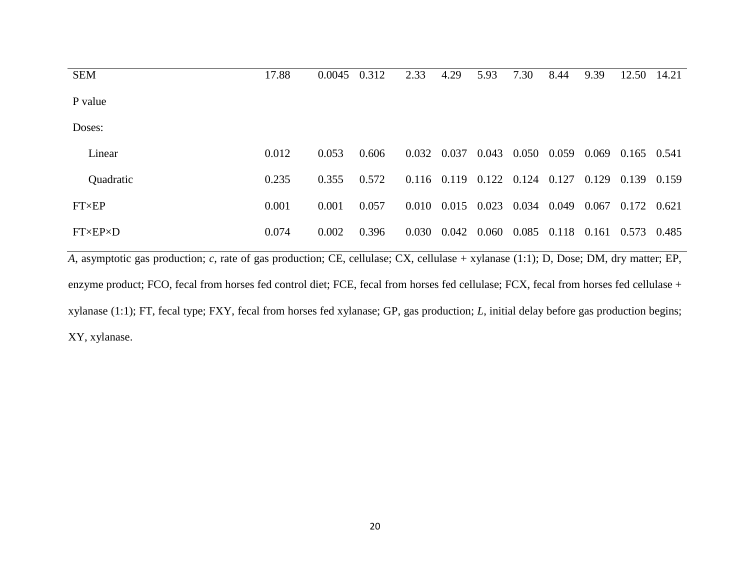| <b>SEM</b>            | 17.88 | 0.0045 | 0.312 | 2.33  | 4.29            | 5.93  | 7.30  | 8.44  | 9.39  | 12.50       | 14.21 |
|-----------------------|-------|--------|-------|-------|-----------------|-------|-------|-------|-------|-------------|-------|
| P value               |       |        |       |       |                 |       |       |       |       |             |       |
| Doses:                |       |        |       |       |                 |       |       |       |       |             |       |
| Linear                | 0.012 | 0.053  | 0.606 | 0.032 | 0.037           | 0.043 | 0.050 | 0.059 | 0.069 | 0.165 0.541 |       |
| Quadratic             | 0.235 | 0.355  | 0.572 |       | $0.116$ $0.119$ | 0.122 | 0.124 | 0.127 | 0.129 | 0.139       | 0.159 |
| <b>FT×EP</b>          | 0.001 | 0.001  | 0.057 | 0.010 | 0.015           | 0.023 | 0.034 | 0.049 | 0.067 | 0.172 0.621 |       |
| $FT\times EP\times D$ | 0.074 | 0.002  | 0.396 | 0.030 | 0.042           | 0.060 | 0.085 | 0.118 | 0.161 | 0.573       | 0.485 |
|                       |       |        |       |       |                 |       |       |       |       |             |       |

*A*, asymptotic gas production; *c*, rate of gas production; CE, cellulase; CX, cellulase + xylanase (1:1); D, Dose; DM, dry matter; EP, enzyme product; FCO, fecal from horses fed control diet; FCE, fecal from horses fed cellulase; FCX, fecal from horses fed cellulase + xylanase (1:1); FT, fecal type; FXY, fecal from horses fed xylanase; GP, gas production; *L*, initial delay before gas production begins; XY, xylanase.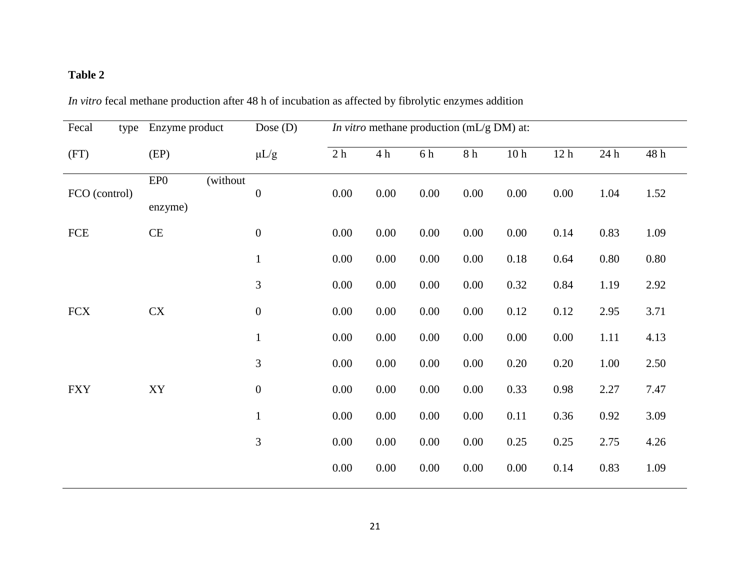# **Table 2**

| Fecal<br>type | Enzyme product             |          | Dose $(D)$       |                |          |          | <i>In vitro</i> methane production (mL/g DM) at: |                 |                 |          |      |
|---------------|----------------------------|----------|------------------|----------------|----------|----------|--------------------------------------------------|-----------------|-----------------|----------|------|
| (FT)          | (EP)                       |          | $\mu L/g$        | 2 <sub>h</sub> | 4h       | 6 h      | 8 h                                              | 10 <sub>h</sub> | 12 <sub>h</sub> | 24h      | 48 h |
| FCO (control) | EP <sub>0</sub><br>enzyme) | (without | $\boldsymbol{0}$ | 0.00           | 0.00     | 0.00     | 0.00                                             | 0.00            | 0.00            | 1.04     | 1.52 |
| FCE           | CE                         |          | $\boldsymbol{0}$ | 0.00           | 0.00     | 0.00     | 0.00                                             | 0.00            | 0.14            | 0.83     | 1.09 |
|               |                            |          | $\mathbf{1}$     | 0.00           | 0.00     | 0.00     | 0.00                                             | 0.18            | 0.64            | 0.80     | 0.80 |
|               |                            |          | 3                | 0.00           | 0.00     | 0.00     | 0.00                                             | 0.32            | 0.84            | 1.19     | 2.92 |
| <b>FCX</b>    | CX                         |          | $\boldsymbol{0}$ | 0.00           | 0.00     | 0.00     | 0.00                                             | 0.12            | 0.12            | 2.95     | 3.71 |
|               |                            |          | $\mathbf{1}$     | 0.00           | 0.00     | $0.00\,$ | 0.00                                             | 0.00            | 0.00            | 1.11     | 4.13 |
|               |                            |          | 3                | 0.00           | $0.00\,$ | 0.00     | 0.00                                             | 0.20            | 0.20            | 1.00     | 2.50 |
| <b>FXY</b>    | XY                         |          | $\boldsymbol{0}$ | 0.00           | $0.00\,$ | 0.00     | 0.00                                             | 0.33            | 0.98            | 2.27     | 7.47 |
|               |                            |          | $\mathbf{1}$     | 0.00           | 0.00     | 0.00     | 0.00                                             | 0.11            | 0.36            | $0.92\,$ | 3.09 |
|               |                            |          | 3                | 0.00           | 0.00     | 0.00     | 0.00                                             | 0.25            | 0.25            | 2.75     | 4.26 |
|               |                            |          |                  | 0.00           | 0.00     | 0.00     | 0.00                                             | 0.00            | 0.14            | 0.83     | 1.09 |

*In vitro* fecal methane production after 48 h of incubation as affected by fibrolytic enzymes addition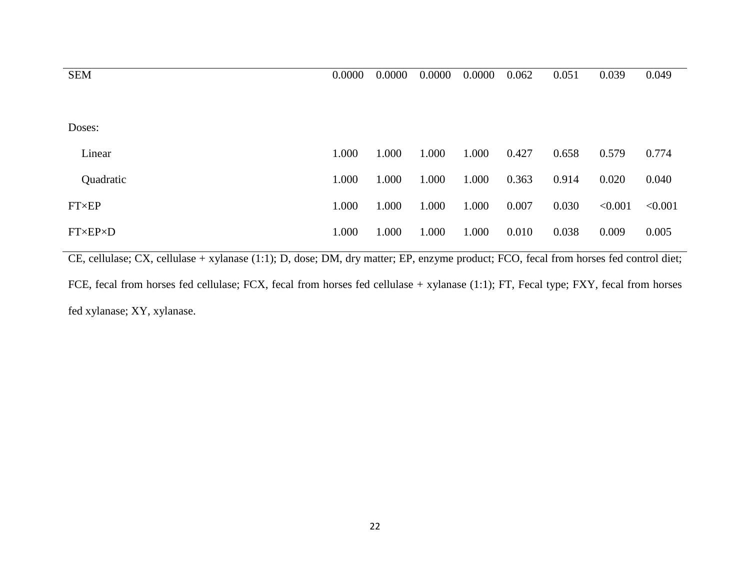| 0.0000 | 0.0000 | 0.0000 | 0.0000 | 0.062 | 0.051 | 0.039   | 0.049   |
|--------|--------|--------|--------|-------|-------|---------|---------|
|        |        |        |        |       |       |         |         |
|        |        |        |        |       |       |         |         |
|        |        |        |        |       |       |         |         |
| 1.000  | 1.000  | 1.000  | 1.000  | 0.427 | 0.658 | 0.579   | 0.774   |
| 1.000  | 1.000  | 1.000  | 1.000  | 0.363 | 0.914 | 0.020   | 0.040   |
| 1.000  | 1.000  | 1.000  | 1.000  | 0.007 | 0.030 | < 0.001 | < 0.001 |
| 1.000  | 1.000  | 1.000  | 1.000  | 0.010 | 0.038 | 0.009   | 0.005   |
|        |        |        |        |       |       |         |         |

CE, cellulase; CX, cellulase + xylanase (1:1); D, dose; DM, dry matter; EP, enzyme product; FCO, fecal from horses fed control diet;

FCE, fecal from horses fed cellulase; FCX, fecal from horses fed cellulase + xylanase (1:1); FT, Fecal type; FXY, fecal from horses fed xylanase; XY, xylanase.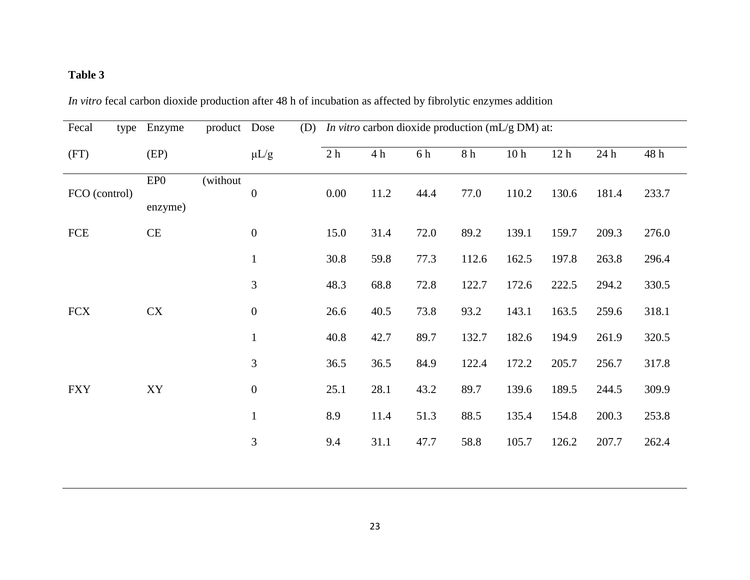# **Table 3**

| Fecal         | type | Enzyme         | product Dose | (D)              |      |      |      | <i>In vitro</i> carbon dioxide production ( $mL/g$ DM) at: |                 |                 |       |       |
|---------------|------|----------------|--------------|------------------|------|------|------|------------------------------------------------------------|-----------------|-----------------|-------|-------|
| (FT)          |      | (EP)           |              | $\mu L/g$        | 2h   | 4h   | 6 h  | $8\ \mathrm{h}$                                            | 10 <sub>h</sub> | 12 <sub>h</sub> | 24 h  | 48 h  |
| FCO (control) |      | EPO<br>enzyme) | (without     | $\boldsymbol{0}$ | 0.00 | 11.2 | 44.4 | 77.0                                                       | 110.2           | 130.6           | 181.4 | 233.7 |
| <b>FCE</b>    |      | CE             |              | $\boldsymbol{0}$ | 15.0 | 31.4 | 72.0 | 89.2                                                       | 139.1           | 159.7           | 209.3 | 276.0 |
|               |      |                |              | $\mathbf{1}$     | 30.8 | 59.8 | 77.3 | 112.6                                                      | 162.5           | 197.8           | 263.8 | 296.4 |
|               |      |                |              | $\mathfrak{Z}$   | 48.3 | 68.8 | 72.8 | 122.7                                                      | 172.6           | 222.5           | 294.2 | 330.5 |
| <b>FCX</b>    |      | <b>CX</b>      |              | $\boldsymbol{0}$ | 26.6 | 40.5 | 73.8 | 93.2                                                       | 143.1           | 163.5           | 259.6 | 318.1 |
|               |      |                |              | $\mathbf{1}$     | 40.8 | 42.7 | 89.7 | 132.7                                                      | 182.6           | 194.9           | 261.9 | 320.5 |
|               |      |                |              | $\overline{3}$   | 36.5 | 36.5 | 84.9 | 122.4                                                      | 172.2           | 205.7           | 256.7 | 317.8 |
| <b>FXY</b>    |      | XY             |              | $\boldsymbol{0}$ | 25.1 | 28.1 | 43.2 | 89.7                                                       | 139.6           | 189.5           | 244.5 | 309.9 |
|               |      |                |              | $\mathbf{1}$     | 8.9  | 11.4 | 51.3 | 88.5                                                       | 135.4           | 154.8           | 200.3 | 253.8 |
|               |      |                |              | $\mathfrak{Z}$   | 9.4  | 31.1 | 47.7 | 58.8                                                       | 105.7           | 126.2           | 207.7 | 262.4 |
|               |      |                |              |                  |      |      |      |                                                            |                 |                 |       |       |

*In vitro* fecal carbon dioxide production after 48 h of incubation as affected by fibrolytic enzymes addition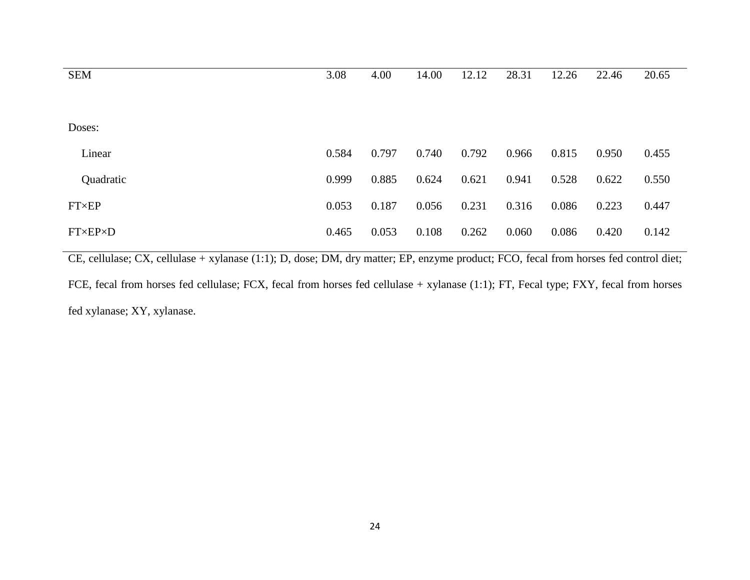| 3.08  | 4.00  | 14.00 | 12.12 | 28.31 | 12.26 | 22.46 | 20.65 |
|-------|-------|-------|-------|-------|-------|-------|-------|
|       |       |       |       |       |       |       |       |
|       |       |       |       |       |       |       |       |
| 0.584 | 0.797 | 0.740 | 0.792 | 0.966 | 0.815 | 0.950 | 0.455 |
| 0.999 | 0.885 | 0.624 | 0.621 | 0.941 | 0.528 | 0.622 | 0.550 |
| 0.053 | 0.187 | 0.056 | 0.231 | 0.316 | 0.086 | 0.223 | 0.447 |
| 0.465 | 0.053 | 0.108 | 0.262 | 0.060 | 0.086 | 0.420 | 0.142 |
|       |       |       |       |       |       |       |       |

CE, cellulase; CX, cellulase + xylanase (1:1); D, dose; DM, dry matter; EP, enzyme product; FCO, fecal from horses fed control diet;

FCE, fecal from horses fed cellulase; FCX, fecal from horses fed cellulase + xylanase (1:1); FT, Fecal type; FXY, fecal from horses fed xylanase; XY, xylanase.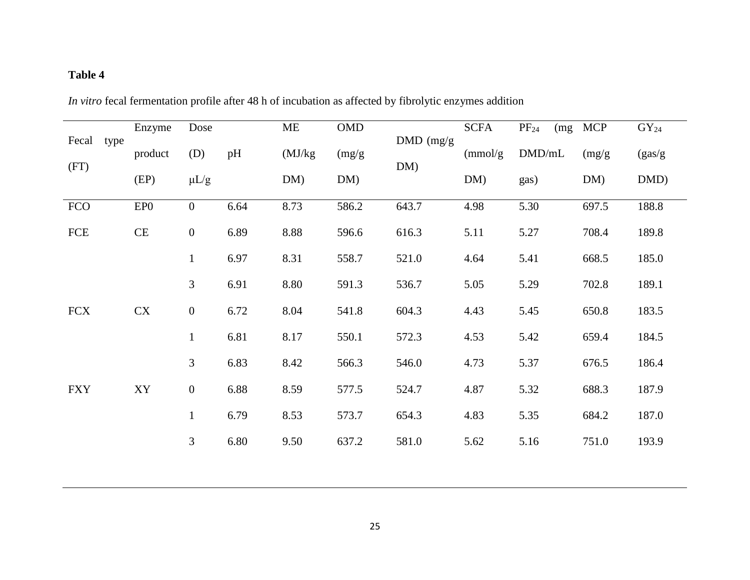# **Table 4**

| In vitro fecal fermentation profile after 48 h of incubation as affected by fibrolytic enzymes addition |  |
|---------------------------------------------------------------------------------------------------------|--|
|---------------------------------------------------------------------------------------------------------|--|

| Fecal      | type | Enzyme          | Dose             |      | ME      | <b>OMD</b> | DMD (mg/g | <b>SCFA</b> | $PF_{24}$ | (mg MCP | $GY_{24}$ |
|------------|------|-----------------|------------------|------|---------|------------|-----------|-------------|-----------|---------|-----------|
|            |      | product         | (D)              | pH   | (MJ/kg) | (mg/g)     |           | (mmol/g)    | DMD/mL    | (mg/g)  | (gas/g)   |
| (FT)       |      | (EP)            | $\mu L/g$        |      | DM)     | DM)        | DM)       | DM)         | gas)      | DM)     | DMD)      |
| <b>FCO</b> |      | EP <sub>0</sub> | $\overline{0}$   | 6.64 | 8.73    | 586.2      | 643.7     | 4.98        | 5.30      | 697.5   | 188.8     |
| FCE        |      | CE              | $\boldsymbol{0}$ | 6.89 | 8.88    | 596.6      | 616.3     | 5.11        | 5.27      | 708.4   | 189.8     |
|            |      |                 | $\mathbf{1}$     | 6.97 | 8.31    | 558.7      | 521.0     | 4.64        | 5.41      | 668.5   | 185.0     |
|            |      |                 | 3                | 6.91 | 8.80    | 591.3      | 536.7     | 5.05        | 5.29      | 702.8   | 189.1     |
| <b>FCX</b> |      | CX              | $\boldsymbol{0}$ | 6.72 | 8.04    | 541.8      | 604.3     | 4.43        | 5.45      | 650.8   | 183.5     |
|            |      |                 | $\mathbf{1}$     | 6.81 | 8.17    | 550.1      | 572.3     | 4.53        | 5.42      | 659.4   | 184.5     |
|            |      |                 | 3                | 6.83 | 8.42    | 566.3      | 546.0     | 4.73        | 5.37      | 676.5   | 186.4     |
| <b>FXY</b> |      | XY              | $\boldsymbol{0}$ | 6.88 | 8.59    | 577.5      | 524.7     | 4.87        | 5.32      | 688.3   | 187.9     |
|            |      |                 | $\mathbf{1}$     | 6.79 | 8.53    | 573.7      | 654.3     | 4.83        | 5.35      | 684.2   | 187.0     |
|            |      |                 | 3                | 6.80 | 9.50    | 637.2      | 581.0     | 5.62        | 5.16      | 751.0   | 193.9     |
|            |      |                 |                  |      |         |            |           |             |           |         |           |